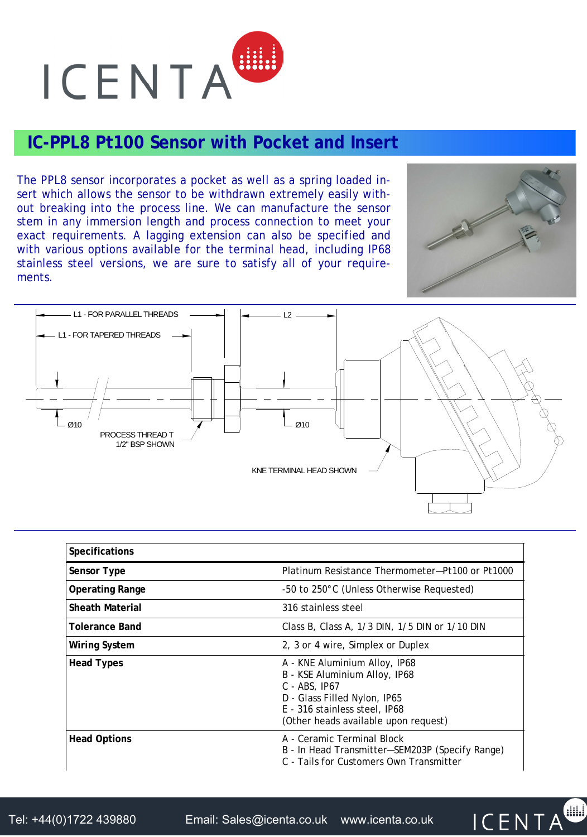

## **IC-PPL8 Pt100 Sensor with Pocket and Insert**

The PPL8 sensor incorporates a pocket as well as a spring loaded insert which allows the sensor to be withdrawn extremely easily without breaking into the process line. We can manufacture the sensor stem in any immersion length and process connection to meet your exact requirements. A lagging extension can also be specified and with various options available for the terminal head, including IP68 stainless steel versions, we are sure to satisfy all of your requirements.



**ICENTA** 



| Specifications      |                                                                                                                                                                                             |
|---------------------|---------------------------------------------------------------------------------------------------------------------------------------------------------------------------------------------|
| Sensor Type         | Platinum Resistance Thermometer-Pt100 or Pt1000                                                                                                                                             |
| Operating Range     | -50 to 250°C (Unless Otherwise Requested)                                                                                                                                                   |
| Sheath Material     | 316 stainless steel                                                                                                                                                                         |
| Tolerance Band      | Class B, Class A, 1/3 DIN, 1/5 DIN or 1/10 DIN                                                                                                                                              |
| Wiring System       | 2, 3 or 4 wire, Simplex or Duplex                                                                                                                                                           |
| <b>Head Types</b>   | A - KNE Aluminium Alloy, IP68<br>B - KSE Aluminium Alloy, IP68<br>$C - ABS$ , IP67<br>D - Glass Filled Nylon, IP65<br>E - 316 stainless steel, IP68<br>(Other heads available upon request) |
| <b>Head Options</b> | A - Ceramic Terminal Block<br>B - In Head Transmitter-SEM203P (Specify Range)<br>C - Tails for Customers Own Transmitter                                                                    |